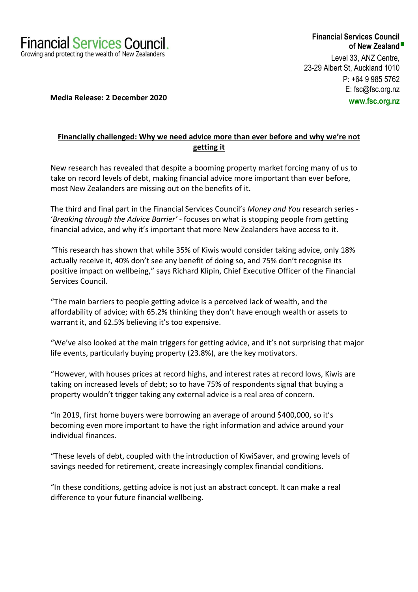

## **Financial Services Council of New Zealand**

Level 33, ANZ Centre, 23-29 Albert St, Auckland 1010 P: +64 9 985 5762 E: fsc@fsc.org.nz **www.fsc.org.nz**

 **Media Release: 2 December 2020** 

# **Financially challenged: Why we need advice more than ever before and why we're not getting it**

New research has revealed that despite a booming property market forcing many of us to take on record levels of debt, making financial advice more important than ever before, most New Zealanders are missing out on the benefits of it.

The third and final part in the Financial Services Council's *Money and You* research series - '*Breaking through the Advice Barrier'* - focuses on what is stopping people from getting financial advice, and why it's important that more New Zealanders have access to it.

*"*This research has shown that while 35% of Kiwis would consider taking advice, only 18% actually receive it, 40% don't see any benefit of doing so, and 75% don't recognise its positive impact on wellbeing," says Richard Klipin, Chief Executive Officer of the Financial Services Council.

"The main barriers to people getting advice is a perceived lack of wealth, and the affordability of advice; with 65.2% thinking they don't have enough wealth or assets to warrant it, and 62.5% believing it's too expensive.

"We've also looked at the main triggers for getting advice, and it's not surprising that major life events, particularly buying property (23.8%), are the key motivators.

"However, with houses prices at record highs, and interest rates at record lows, Kiwis are taking on increased levels of debt; so to have 75% of respondents signal that buying a property wouldn't trigger taking any external advice is a real area of concern.

"In 2019, first home buyers were borrowing an average of around \$400,000, so it's becoming even more important to have the right information and advice around your individual finances.

"These levels of debt, coupled with the introduction of KiwiSaver, and growing levels of savings needed for retirement, create increasingly complex financial conditions.

"In these conditions, getting advice is not just an abstract concept. It can make a real difference to your future financial wellbeing.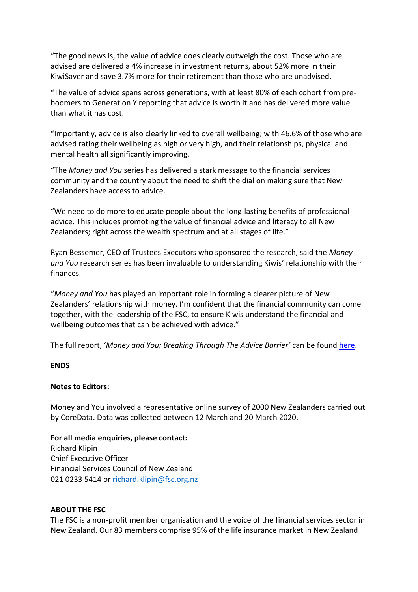"The good news is, the value of advice does clearly outweigh the cost. Those who are advised are delivered a 4% increase in investment returns, about 52% more in their KiwiSaver and save 3.7% more for their retirement than those who are unadvised.

"The value of advice spans across generations, with at least 80% of each cohort from preboomers to Generation Y reporting that advice is worth it and has delivered more value than what it has cost.

"Importantly, advice is also clearly linked to overall wellbeing; with 46.6% of those who are advised rating their wellbeing as high or very high, and their relationships, physical and mental health all significantly improving.

"The *Money and You* series has delivered a stark message to the financial services community and the country about the need to shift the dial on making sure that New Zealanders have access to advice.

"We need to do more to educate people about the long-lasting benefits of professional advice. This includes promoting the value of financial advice and literacy to all New Zealanders; right across the wealth spectrum and at all stages of life."

Ryan Bessemer, CEO of Trustees Executors who sponsored the research, said the *Money and You* research series has been invaluable to understanding Kiwis' relationship with their finances.

"*Money and You* has played an important role in forming a clearer picture of New Zealanders' relationship with money. I'm confident that the financial community can come together, with the leadership of the FSC, to ensure Kiwis understand the financial and wellbeing outcomes that can be achieved with advice."

The full report, '*Money and You; Breaking Through The Advice Barrier'* can be foun[d here.](https://www.fsc.org.nz/site/fsc1/Money%20&%20You%203%20-%20Breaking%20Through%20The%20Advice%20Barrier%20-%20Financial%20Services%20Council%20-%20December%202020.pdf)

### **ENDS**

### **Notes to Editors:**

Money and You involved a representative online survey of 2000 New Zealanders carried out by CoreData. Data was collected between 12 March and 20 March 2020.

**For all media enquiries, please contact:** Richard Klipin Chief Executive Officer Financial Services Council of New Zealand 021 0233 5414 or [richard.klipin@fsc.org.nz](mailto:richard.klipin@fsc.org.nz)

### **ABOUT THE FSC**

The FSC is a non-profit member organisation and the voice of the financial services sector in New Zealand. Our 83 members comprise 95% of the life insurance market in New Zealand